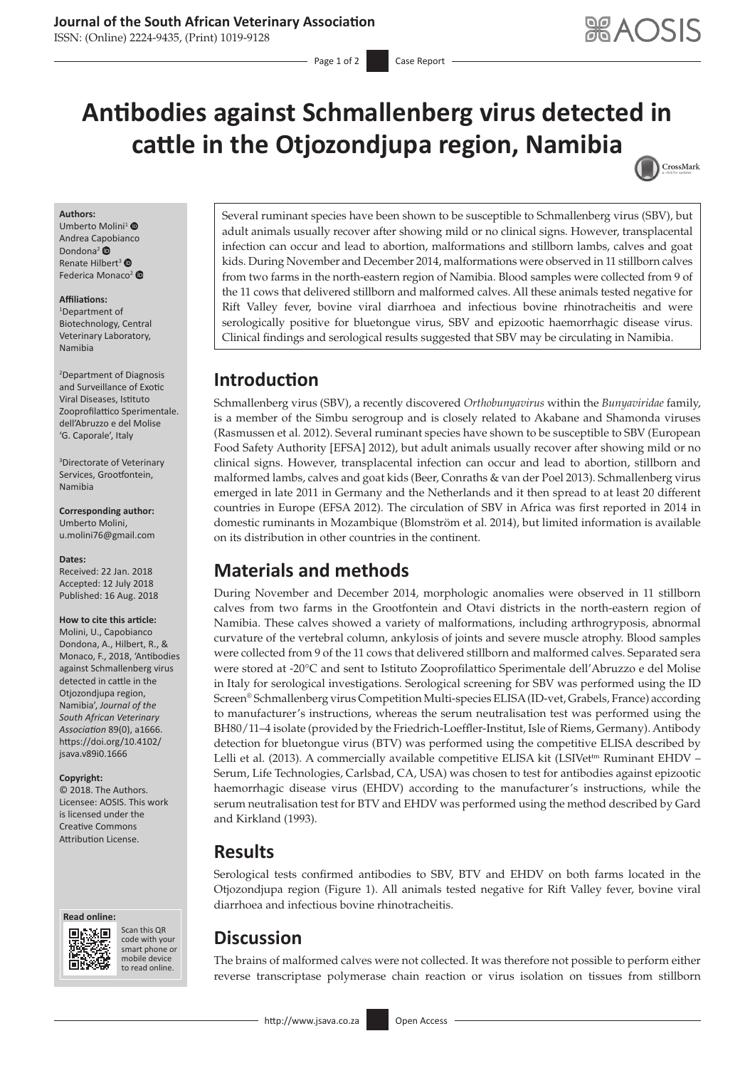### **Journal of the South African Veterinary Association**

ISSN: (Online) 2224-9435, (Print) 1019-9128

# **Antibodies against Schmallenberg virus detected in cattle in the Otjozondjupa region, Namibia** CrossMark

#### **Authors:**

Umberto Molini<sup>[1](https://orcid.org/0000-0003-4146-4015)</sup> <sup>O</sup> Andrea Capobianco Dondona<sup>2</sup> Renate Hilbert<sup>3</sup> <sup>®</sup> Federica Monaco<sup>[2](https://orcid.org/0000-0002-7827-2642)</sup>

### **Affiliations:**

1 Department of Biotechnology, Central Veterinary Laboratory, Namibia

2 Department of Diagnosis and Surveillance of Exotic Viral Diseases, Istituto Zooprofilattico Sperimentale. dell'Abruzzo e del Molise 'G. Caporale', Italy

3 Directorate of Veterinary Services, Grootfontein, Namibia

**Corresponding author:** Umberto Molini, [u.molini76@gmail.com](mailto:u.molini76@gmail.com)

**Dates:** Received: 22 Jan. 2018 Accepted: 12 July 2018 Published: 16 Aug. 2018

### **How to cite this article:**

Molini, U., Capobianco Dondona, A., Hilbert, R., & Monaco, F., 2018, 'Antibodies against Schmallenberg virus detected in cattle in the Otjozondjupa region, Namibia', *Journal of the South African Veterinary Association* 89(0), a1666. [https://doi.org/10.4102/](https://doi.org/10.4102/jsava.v89i0.1666) [jsava.v89i0.1666](https://doi.org/10.4102/jsava.v89i0.1666)

### **Copyright:**

© 2018. The Authors. Licensee: AOSIS. This work is licensed under the Creative Commons Attribution License.





Scan this QR code with your Scan this QR<br>code with your<br>smart phone or<br>mobile device mobile device to read online. to read online.

Several ruminant species have been shown to be susceptible to Schmallenberg virus (SBV), but adult animals usually recover after showing mild or no clinical signs. However, transplacental infection can occur and lead to abortion, malformations and stillborn lambs, calves and goat kids. During November and December 2014, malformations were observed in 11 stillborn calves from two farms in the north-eastern region of Namibia. Blood samples were collected from 9 of the 11 cows that delivered stillborn and malformed calves. All these animals tested negative for Rift Valley fever, bovine viral diarrhoea and infectious bovine rhinotracheitis and were serologically positive for bluetongue virus, SBV and epizootic haemorrhagic disease virus. Clinical findings and serological results suggested that SBV may be circulating in Namibia.

## **Introduction**

Schmallenberg virus (SBV), a recently discovered *Orthobunyavirus* within the *Bunyaviridae* family, is a member of the Simbu serogroup and is closely related to Akabane and Shamonda viruses (Rasmussen et al. 2012). Several ruminant species have shown to be susceptible to SBV (European Food Safety Authority [EFSA] 2012), but adult animals usually recover after showing mild or no clinical signs. However, transplacental infection can occur and lead to abortion, stillborn and malformed lambs, calves and goat kids (Beer, Conraths & van der Poel 2013). Schmallenberg virus emerged in late 2011 in Germany and the Netherlands and it then spread to at least 20 different countries in Europe (EFSA 2012). The circulation of SBV in Africa was first reported in 2014 in domestic ruminants in Mozambique (Blomström et al. 2014), but limited information is available on its distribution in other countries in the continent.

## **Materials and methods**

During November and December 2014, morphologic anomalies were observed in 11 stillborn calves from two farms in the Grootfontein and Otavi districts in the north-eastern region of Namibia. These calves showed a variety of malformations, including arthrogryposis, abnormal curvature of the vertebral column, ankylosis of joints and severe muscle atrophy. Blood samples were collected from 9 of the 11 cows that delivered stillborn and malformed calves. Separated sera were stored at -20°C and sent to Istituto Zooprofilattico Sperimentale dell'Abruzzo e del Molise in Italy for serological investigations. Serological screening for SBV was performed using the ID Screen® Schmallenberg virus Competition Multi-species ELISA (ID-vet, Grabels, France) according to manufacturer's instructions, whereas the serum neutralisation test was performed using the BH80/11–4 isolate (provided by the Friedrich-Loeffler-Institut, Isle of Riems, Germany). Antibody detection for bluetongue virus (BTV) was performed using the competitive ELISA described by Lelli et al. (2013). A commercially available competitive ELISA kit (LSIVet<sup>tm</sup> Ruminant EHDV – Serum, Life Technologies, Carlsbad, CA, USA) was chosen to test for antibodies against epizootic haemorrhagic disease virus (EHDV) according to the manufacturer's instructions, while the serum neutralisation test for BTV and EHDV was performed using the method described by Gard and Kirkland (1993).

## **Results**

Serological tests confirmed antibodies to SBV, BTV and EHDV on both farms located in the Otjozondjupa region (Figure 1). All animals tested negative for Rift Valley fever, bovine viral diarrhoea and infectious bovine rhinotracheitis.

## **Discussion**

The brains of malformed calves were not collected. It was therefore not possible to perform either reverse transcriptase polymerase chain reaction or virus isolation on tissues from stillborn